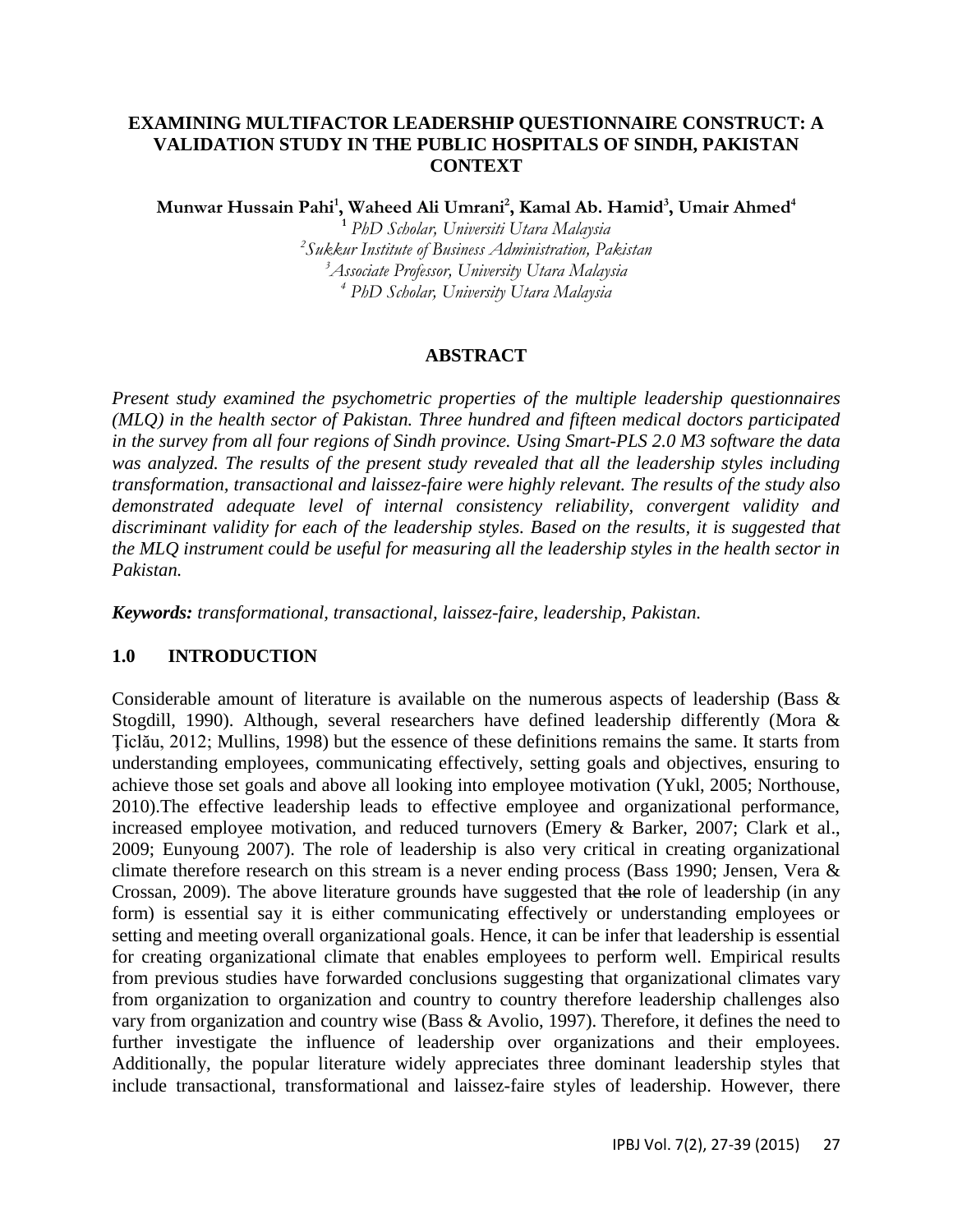#### **EXAMINING MULTIFACTOR LEADERSHIP QUESTIONNAIRE CONSTRUCT: A VALIDATION STUDY IN THE PUBLIC HOSPITALS OF SINDH, PAKISTAN CONTEXT**

**Munwar Hussain Pahi<sup>1</sup> , Waheed Ali Umrani<sup>2</sup> , Kamal Ab. Hamid<sup>3</sup> , Umair Ahmed<sup>4</sup>**

 *PhD Scholar, Universiti Utara Malaysia Sukkur Institute of Business Administration, Pakistan Associate Professor, University Utara Malaysia PhD Scholar, University Utara Malaysia*

#### **ABSTRACT**

*Present study examined the psychometric properties of the multiple leadership questionnaires (MLQ) in the health sector of Pakistan. Three hundred and fifteen medical doctors participated in the survey from all four regions of Sindh province. Using Smart-PLS 2.0 M3 software the data was analyzed. The results of the present study revealed that all the leadership styles including transformation, transactional and laissez-faire were highly relevant. The results of the study also demonstrated adequate level of internal consistency reliability, convergent validity and discriminant validity for each of the leadership styles. Based on the results, it is suggested that the MLQ instrument could be useful for measuring all the leadership styles in the health sector in Pakistan.*

*Keywords: transformational, transactional, laissez-faire, leadership, Pakistan.* 

# **1.0 INTRODUCTION**

Considerable amount of literature is available on the numerous aspects of leadership (Bass & Stogdill, 1990). Although, several researchers have defined leadership differently (Mora & Ţiclău, 2012; Mullins, 1998) but the essence of these definitions remains the same. It starts from understanding employees, communicating effectively, setting goals and objectives, ensuring to achieve those set goals and above all looking into employee motivation (Yukl, 2005; Northouse, 2010).The effective leadership leads to effective employee and organizational performance, increased employee motivation, and reduced turnovers (Emery & Barker, 2007; Clark et al., 2009; Eunyoung 2007). The role of leadership is also very critical in creating organizational climate therefore research on this stream is a never ending process (Bass 1990; Jensen, Vera & Crossan, 2009). The above literature grounds have suggested that the role of leadership (in any form) is essential say it is either communicating effectively or understanding employees or setting and meeting overall organizational goals. Hence, it can be infer that leadership is essential for creating organizational climate that enables employees to perform well. Empirical results from previous studies have forwarded conclusions suggesting that organizational climates vary from organization to organization and country to country therefore leadership challenges also vary from organization and country wise (Bass & Avolio, 1997). Therefore, it defines the need to further investigate the influence of leadership over organizations and their employees. Additionally, the popular literature widely appreciates three dominant leadership styles that include transactional, transformational and laissez-faire styles of leadership. However, there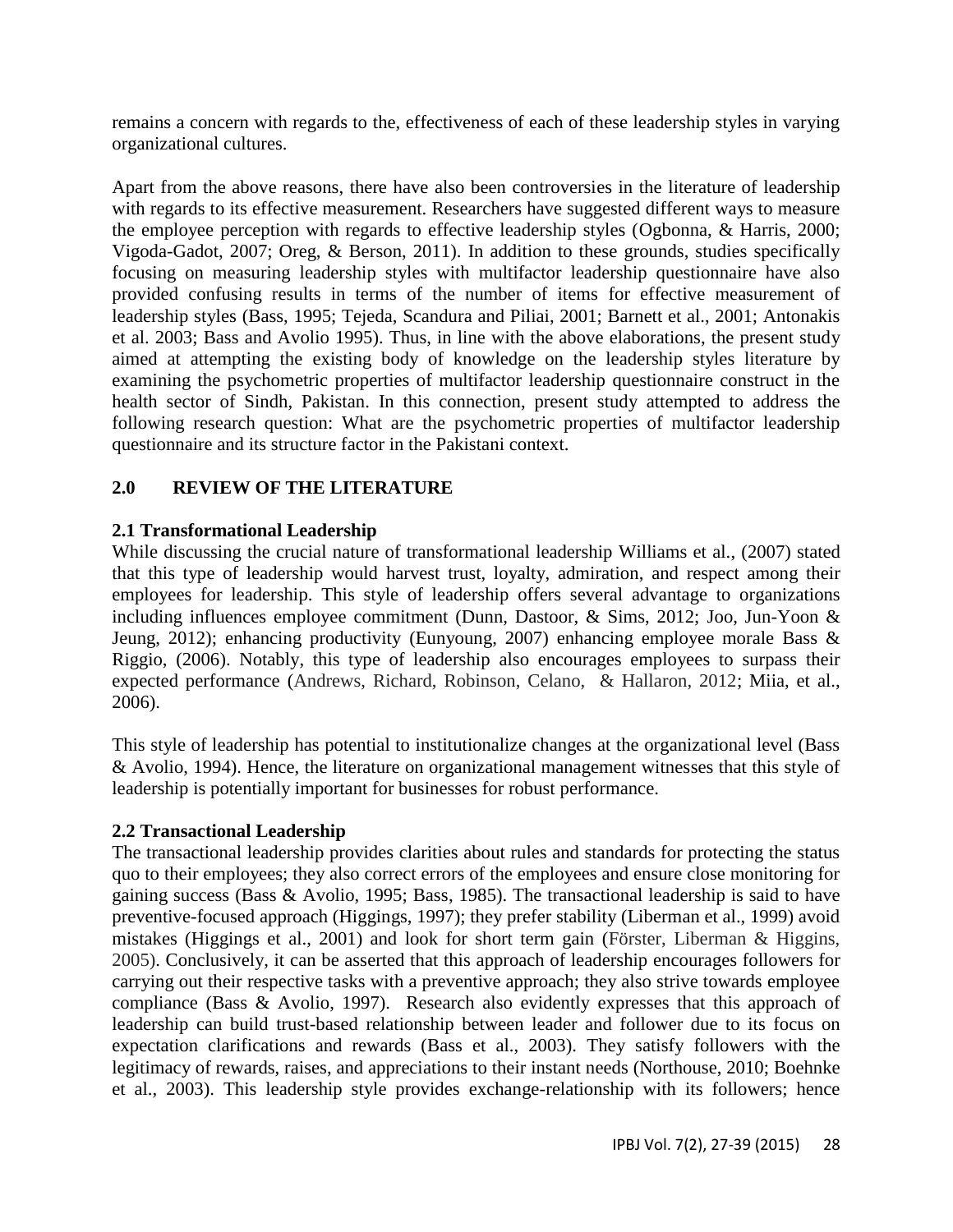remains a concern with regards to the, effectiveness of each of these leadership styles in varying organizational cultures.

Apart from the above reasons, there have also been controversies in the literature of leadership with regards to its effective measurement. Researchers have suggested different ways to measure the employee perception with regards to effective leadership styles (Ogbonna, & Harris, 2000; Vigoda-Gadot, 2007; Oreg, & Berson, 2011). In addition to these grounds, studies specifically focusing on measuring leadership styles with multifactor leadership questionnaire have also provided confusing results in terms of the number of items for effective measurement of leadership styles (Bass, 1995; Tejeda, Scandura and Piliai, 2001; Barnett et al., 2001; Antonakis et al. 2003; Bass and Avolio 1995). Thus, in line with the above elaborations, the present study aimed at attempting the existing body of knowledge on the leadership styles literature by examining the psychometric properties of multifactor leadership questionnaire construct in the health sector of Sindh, Pakistan. In this connection, present study attempted to address the following research question: What are the psychometric properties of multifactor leadership questionnaire and its structure factor in the Pakistani context.

# **2.0 REVIEW OF THE LITERATURE**

# **2.1 Transformational Leadership**

While discussing the crucial nature of transformational leadership Williams et al., (2007) stated that this type of leadership would harvest trust, loyalty, admiration, and respect among their employees for leadership. This style of leadership offers several advantage to organizations including influences employee commitment (Dunn, Dastoor, & Sims, 2012; Joo, Jun-Yoon & Jeung, 2012); enhancing productivity (Eunyoung, 2007) enhancing employee morale Bass & Riggio, (2006). Notably, this type of leadership also encourages employees to surpass their expected performance (Andrews, Richard, Robinson, Celano, & Hallaron, 2012; Miia, et al., 2006).

This style of leadership has potential to institutionalize changes at the organizational level (Bass & Avolio, 1994). Hence, the literature on organizational management witnesses that this style of leadership is potentially important for businesses for robust performance.

#### **2.2 Transactional Leadership**

The transactional leadership provides clarities about rules and standards for protecting the status quo to their employees; they also correct errors of the employees and ensure close monitoring for gaining success (Bass & Avolio, 1995; Bass, 1985). The transactional leadership is said to have preventive-focused approach (Higgings, 1997); they prefer stability (Liberman et al., 1999) avoid mistakes (Higgings et al., 2001) and look for short term gain (Förster, Liberman & Higgins, 2005). Conclusively, it can be asserted that this approach of leadership encourages followers for carrying out their respective tasks with a preventive approach; they also strive towards employee compliance (Bass & Avolio, 1997). Research also evidently expresses that this approach of leadership can build trust-based relationship between leader and follower due to its focus on expectation clarifications and rewards (Bass et al., 2003). They satisfy followers with the legitimacy of rewards, raises, and appreciations to their instant needs (Northouse, 2010; Boehnke et al., 2003). This leadership style provides exchange-relationship with its followers; hence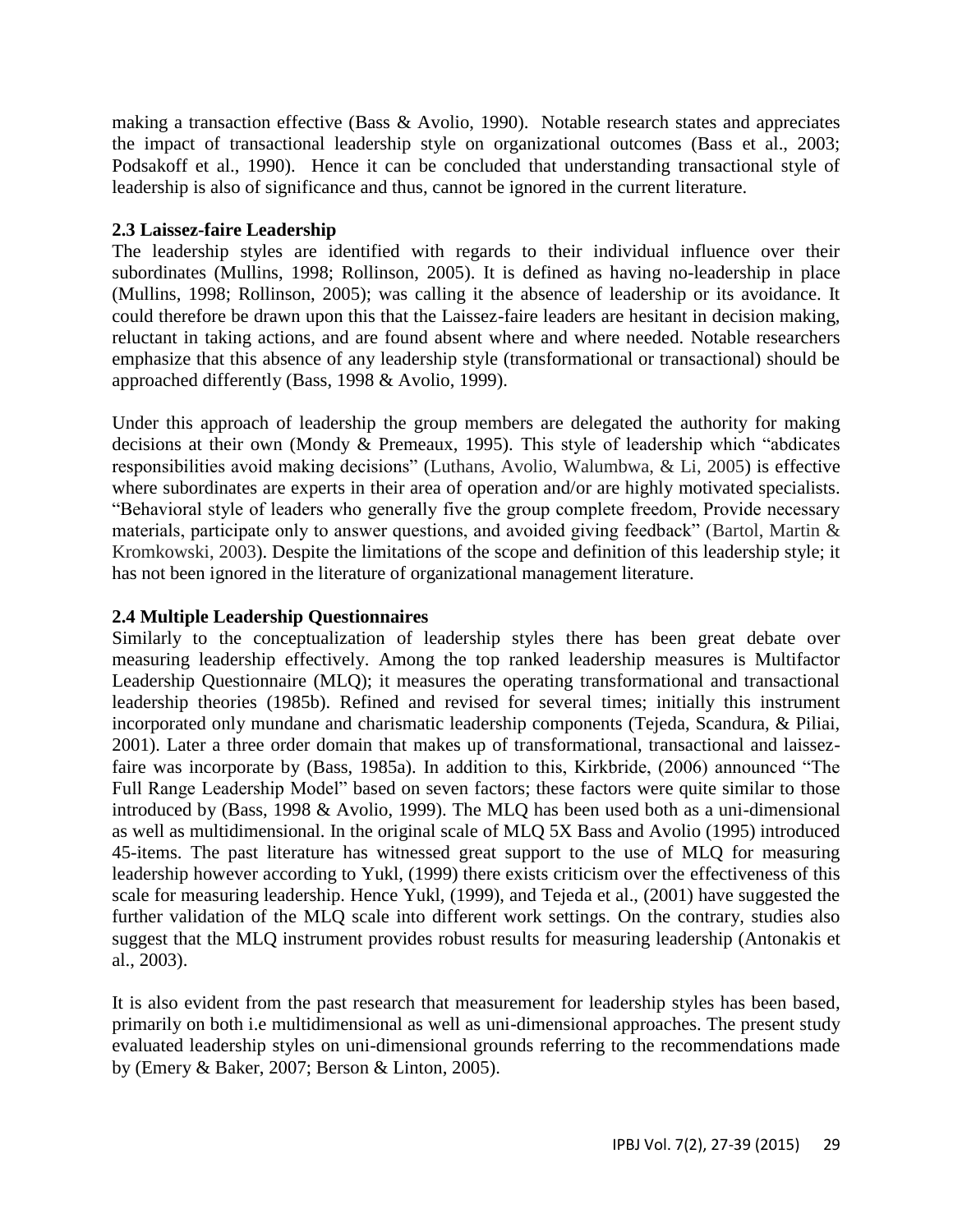making a transaction effective (Bass & Avolio, 1990). Notable research states and appreciates the impact of transactional leadership style on organizational outcomes (Bass et al., 2003; Podsakoff et al., 1990). Hence it can be concluded that understanding transactional style of leadership is also of significance and thus, cannot be ignored in the current literature.

#### **2.3 Laissez-faire Leadership**

The leadership styles are identified with regards to their individual influence over their subordinates (Mullins, 1998; Rollinson, 2005). It is defined as having no-leadership in place (Mullins, 1998; Rollinson, 2005); was calling it the absence of leadership or its avoidance. It could therefore be drawn upon this that the Laissez-faire leaders are hesitant in decision making, reluctant in taking actions, and are found absent where and where needed. Notable researchers emphasize that this absence of any leadership style (transformational or transactional) should be approached differently (Bass, 1998 & Avolio, 1999).

Under this approach of leadership the group members are delegated the authority for making decisions at their own (Mondy & Premeaux, 1995). This style of leadership which "abdicates responsibilities avoid making decisions" (Luthans, Avolio, Walumbwa, & Li, 2005) is effective where subordinates are experts in their area of operation and/or are highly motivated specialists. "Behavioral style of leaders who generally five the group complete freedom, Provide necessary materials, participate only to answer questions, and avoided giving feedback" (Bartol, Martin & Kromkowski, 2003). Despite the limitations of the scope and definition of this leadership style; it has not been ignored in the literature of organizational management literature.

#### **2.4 Multiple Leadership Questionnaires**

Similarly to the conceptualization of leadership styles there has been great debate over measuring leadership effectively. Among the top ranked leadership measures is Multifactor Leadership Questionnaire (MLQ); it measures the operating transformational and transactional leadership theories (1985b). Refined and revised for several times; initially this instrument incorporated only mundane and charismatic leadership components (Tejeda, Scandura, & Piliai, 2001). Later a three order domain that makes up of transformational, transactional and laissezfaire was incorporate by (Bass, 1985a). In addition to this, Kirkbride, (2006) announced "The Full Range Leadership Model" based on seven factors; these factors were quite similar to those introduced by (Bass, 1998 & Avolio, 1999). The MLQ has been used both as a uni-dimensional as well as multidimensional. In the original scale of MLQ 5X Bass and Avolio (1995) introduced 45-items. The past literature has witnessed great support to the use of MLQ for measuring leadership however according to Yukl, (1999) there exists criticism over the effectiveness of this scale for measuring leadership. Hence Yukl, (1999), and Tejeda et al., (2001) have suggested the further validation of the MLQ scale into different work settings. On the contrary, studies also suggest that the MLQ instrument provides robust results for measuring leadership (Antonakis et al., 2003).

It is also evident from the past research that measurement for leadership styles has been based, primarily on both i.e multidimensional as well as uni-dimensional approaches. The present study evaluated leadership styles on uni-dimensional grounds referring to the recommendations made by (Emery & Baker, 2007; Berson & Linton, 2005).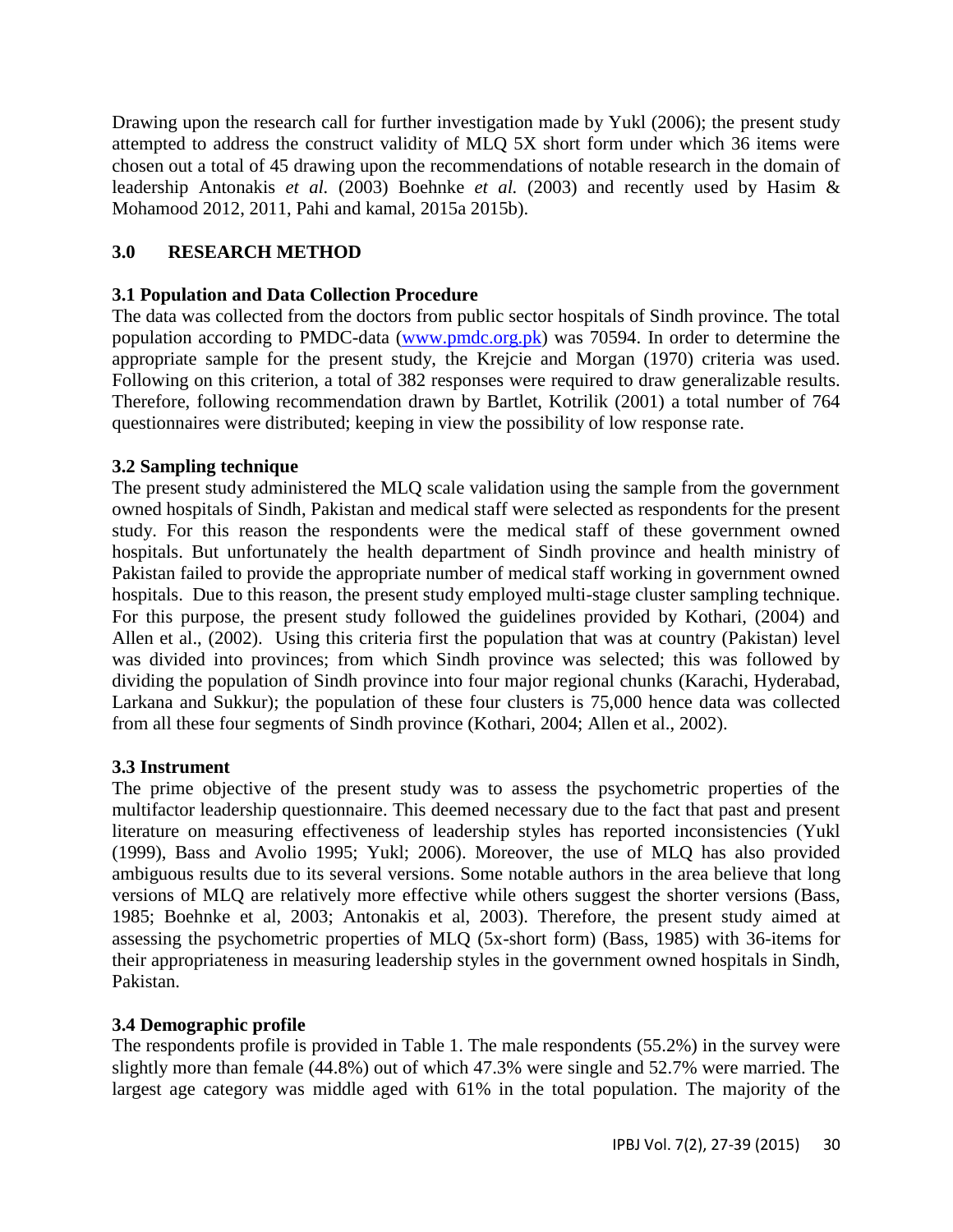Drawing upon the research call for further investigation made by Yukl (2006); the present study attempted to address the construct validity of MLQ 5X short form under which 36 items were chosen out a total of 45 drawing upon the recommendations of notable research in the domain of leadership Antonakis *et al.* (2003) Boehnke *et al.* (2003) and recently used by Hasim & Mohamood 2012, 2011, Pahi and kamal, 2015a 2015b).

# **3.0 RESEARCH METHOD**

# **3.1 Population and Data Collection Procedure**

The data was collected from the doctors from public sector hospitals of Sindh province. The total population according to PMDC-data [\(www.pmdc.org.pk\)](http://www.pmdc.org.pk/) was 70594. In order to determine the appropriate sample for the present study, the Krejcie and Morgan (1970) criteria was used. Following on this criterion, a total of 382 responses were required to draw generalizable results. Therefore, following recommendation drawn by Bartlet, Kotrilik (2001) a total number of 764 questionnaires were distributed; keeping in view the possibility of low response rate.

# **3.2 Sampling technique**

The present study administered the MLQ scale validation using the sample from the government owned hospitals of Sindh, Pakistan and medical staff were selected as respondents for the present study. For this reason the respondents were the medical staff of these government owned hospitals. But unfortunately the health department of Sindh province and health ministry of Pakistan failed to provide the appropriate number of medical staff working in government owned hospitals. Due to this reason, the present study employed multi-stage cluster sampling technique. For this purpose, the present study followed the guidelines provided by Kothari, (2004) and Allen et al., (2002). Using this criteria first the population that was at country (Pakistan) level was divided into provinces; from which Sindh province was selected; this was followed by dividing the population of Sindh province into four major regional chunks (Karachi, Hyderabad, Larkana and Sukkur); the population of these four clusters is 75,000 hence data was collected from all these four segments of Sindh province (Kothari, 2004; Allen et al., 2002).

# **3.3 Instrument**

The prime objective of the present study was to assess the psychometric properties of the multifactor leadership questionnaire. This deemed necessary due to the fact that past and present literature on measuring effectiveness of leadership styles has reported inconsistencies (Yukl (1999), Bass and Avolio 1995; Yukl; 2006). Moreover, the use of MLQ has also provided ambiguous results due to its several versions. Some notable authors in the area believe that long versions of MLQ are relatively more effective while others suggest the shorter versions (Bass, 1985; Boehnke et al, 2003; Antonakis et al, 2003). Therefore, the present study aimed at assessing the psychometric properties of MLQ (5x-short form) (Bass, 1985) with 36-items for their appropriateness in measuring leadership styles in the government owned hospitals in Sindh, Pakistan.

# **3.4 Demographic profile**

The respondents profile is provided in Table 1. The male respondents (55.2%) in the survey were slightly more than female (44.8%) out of which 47.3% were single and 52.7% were married. The largest age category was middle aged with 61% in the total population. The majority of the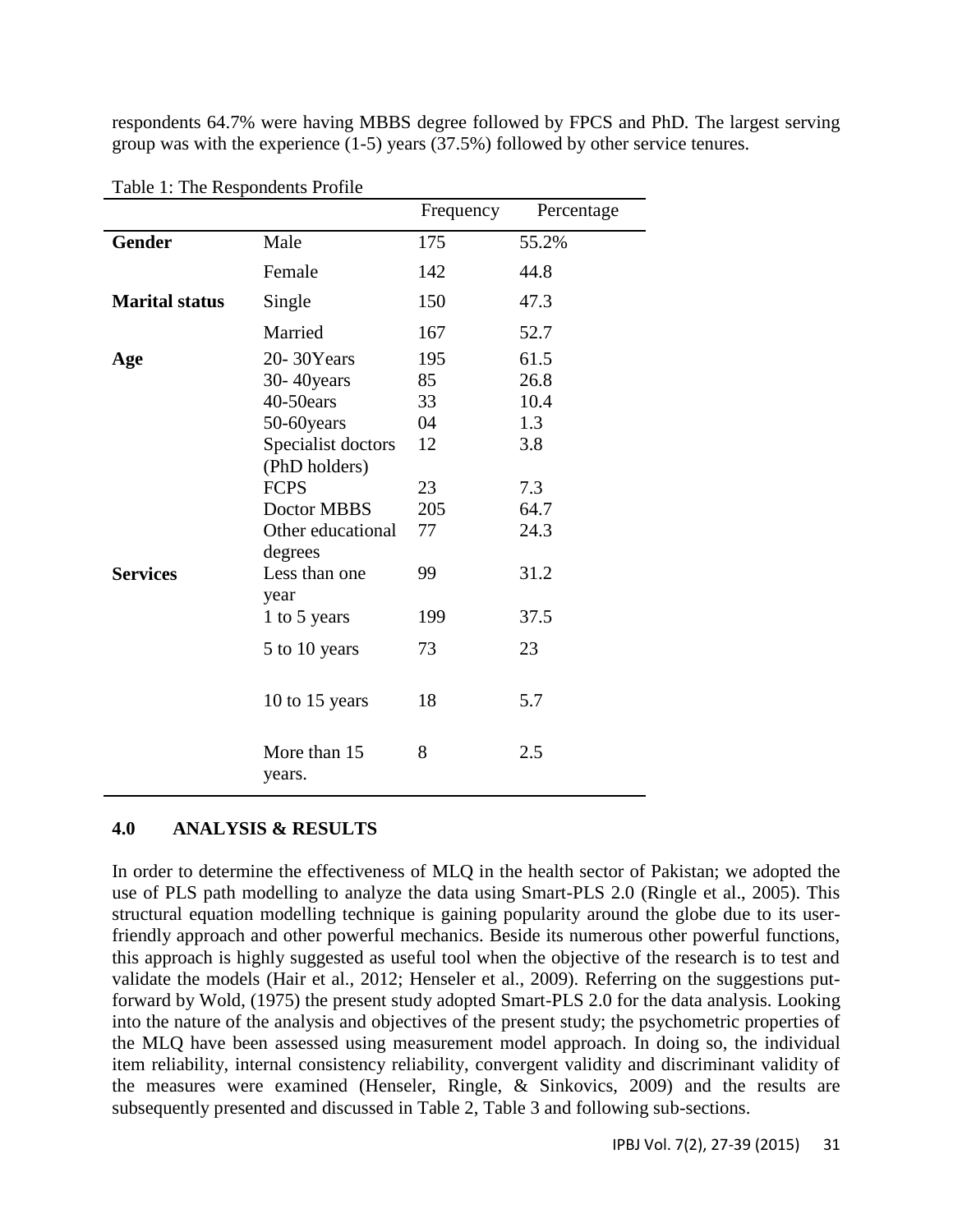respondents 64.7% were having MBBS degree followed by FPCS and PhD. The largest serving group was with the experience (1-5) years (37.5%) followed by other service tenures.

|                       |                                        | Frequency       | Percentage           |
|-----------------------|----------------------------------------|-----------------|----------------------|
| Gender                | Male                                   | 175             | 55.2%                |
|                       | Female                                 | 142             | 44.8                 |
| <b>Marital status</b> | Single                                 | 150             | 47.3                 |
|                       | Married                                | 167             | 52.7                 |
| Age                   | 20-30Years<br>30-40 years<br>40-50ears | 195<br>85<br>33 | 61.5<br>26.8<br>10.4 |
|                       | 50-60years                             | 04              | 1.3                  |
|                       | Specialist doctors<br>(PhD holders)    | 12              | 3.8                  |
|                       | <b>FCPS</b>                            | 23              | 7.3                  |
|                       | Doctor MBBS                            | 205             | 64.7                 |
|                       | Other educational<br>degrees           | 77              | 24.3                 |
| <b>Services</b>       | Less than one<br>year                  | 99              | 31.2                 |
|                       | 1 to 5 years                           | 199             | 37.5                 |
|                       | 5 to 10 years                          | 73              | 23                   |
|                       | 10 to 15 years                         | 18              | 5.7                  |
|                       | More than 15<br>years.                 | 8               | 2.5                  |

Table 1: The Respondents Profile

#### **4.0 ANALYSIS & RESULTS**

In order to determine the effectiveness of MLQ in the health sector of Pakistan; we adopted the use of PLS path modelling to analyze the data using Smart-PLS 2.0 (Ringle et al., 2005). This structural equation modelling technique is gaining popularity around the globe due to its userfriendly approach and other powerful mechanics. Beside its numerous other powerful functions, this approach is highly suggested as useful tool when the objective of the research is to test and validate the models (Hair et al., 2012; Henseler et al., 2009). Referring on the suggestions putforward by Wold, (1975) the present study adopted Smart-PLS 2.0 for the data analysis. Looking into the nature of the analysis and objectives of the present study; the psychometric properties of the MLQ have been assessed using measurement model approach. In doing so, the individual item reliability, internal consistency reliability, convergent validity and discriminant validity of the measures were examined (Henseler, Ringle, & Sinkovics, 2009) and the results are subsequently presented and discussed in Table 2, Table 3 and following sub-sections.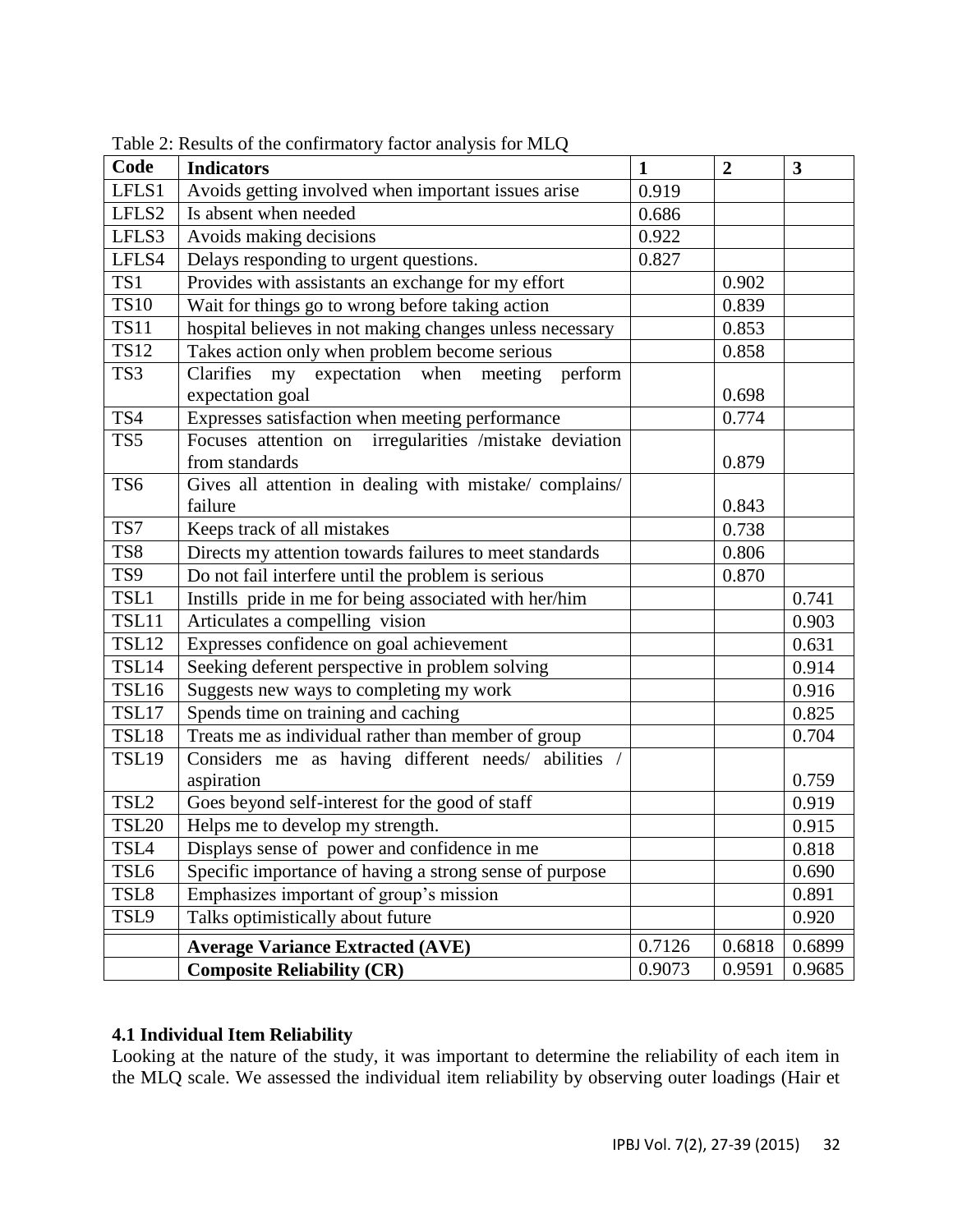| Code             | <b>Indicators</b>                                        | $\mathbf{1}$ | $\overline{2}$ | 3      |
|------------------|----------------------------------------------------------|--------------|----------------|--------|
| LFLS1            | Avoids getting involved when important issues arise      |              |                |        |
| LFLS2            | Is absent when needed                                    |              |                |        |
| LFLS3            | Avoids making decisions                                  |              |                |        |
| LFLS4            | Delays responding to urgent questions.                   |              |                |        |
| TS1              | Provides with assistants an exchange for my effort       |              | 0.902          |        |
| <b>TS10</b>      | Wait for things go to wrong before taking action         |              | 0.839          |        |
| <b>TS11</b>      | hospital believes in not making changes unless necessary |              | 0.853          |        |
| <b>TS12</b>      | Takes action only when problem become serious            |              | 0.858          |        |
| TS3              | Clarifies<br>my expectation when meeting perform         |              |                |        |
|                  | expectation goal                                         |              | 0.698          |        |
| TS4              | Expresses satisfaction when meeting performance          |              | 0.774          |        |
| TS5              | Focuses attention on irregularities /mistake deviation   |              |                |        |
|                  | from standards                                           |              | 0.879          |        |
| TS6              | Gives all attention in dealing with mistake/ complains/  |              |                |        |
|                  | failure                                                  |              | 0.843          |        |
| TS7              | Keeps track of all mistakes                              |              | 0.738          |        |
| TS8              | Directs my attention towards failures to meet standards  |              | 0.806          |        |
| TS9              | Do not fail interfere until the problem is serious       |              | 0.870          |        |
| TSL1             | Instills pride in me for being associated with her/him   |              |                | 0.741  |
| TSL11            | Articulates a compelling vision                          |              |                | 0.903  |
| <b>TSL12</b>     | Expresses confidence on goal achievement                 |              |                | 0.631  |
| TSL14            | Seeking deferent perspective in problem solving          |              |                | 0.914  |
| TSL16            | Suggests new ways to completing my work                  |              |                | 0.916  |
| TSL17            | Spends time on training and caching                      |              |                | 0.825  |
| TSL18            | Treats me as individual rather than member of group      |              |                | 0.704  |
| <b>TSL19</b>     | Considers me as having different needs/ abilities /      |              |                |        |
|                  | aspiration                                               |              |                | 0.759  |
| TSL <sub>2</sub> | Goes beyond self-interest for the good of staff          |              |                | 0.919  |
| <b>TSL20</b>     | Helps me to develop my strength.                         |              |                | 0.915  |
| TSL <sub>4</sub> | Displays sense of power and confidence in me             |              |                | 0.818  |
| TSL <sub>6</sub> | Specific importance of having a strong sense of purpose  |              |                | 0.690  |
| TSL8             | Emphasizes important of group's mission                  |              |                | 0.891  |
| TSL9             | Talks optimistically about future                        |              |                | 0.920  |
|                  | <b>Average Variance Extracted (AVE)</b>                  | 0.7126       | 0.6818         | 0.6899 |
|                  | <b>Composite Reliability (CR)</b>                        | 0.9073       | 0.9591         | 0.9685 |

Table 2: Results of the confirmatory factor analysis for MLQ

# **4.1 Individual Item Reliability**

Looking at the nature of the study, it was important to determine the reliability of each item in the MLQ scale. We assessed the individual item reliability by observing outer loadings (Hair et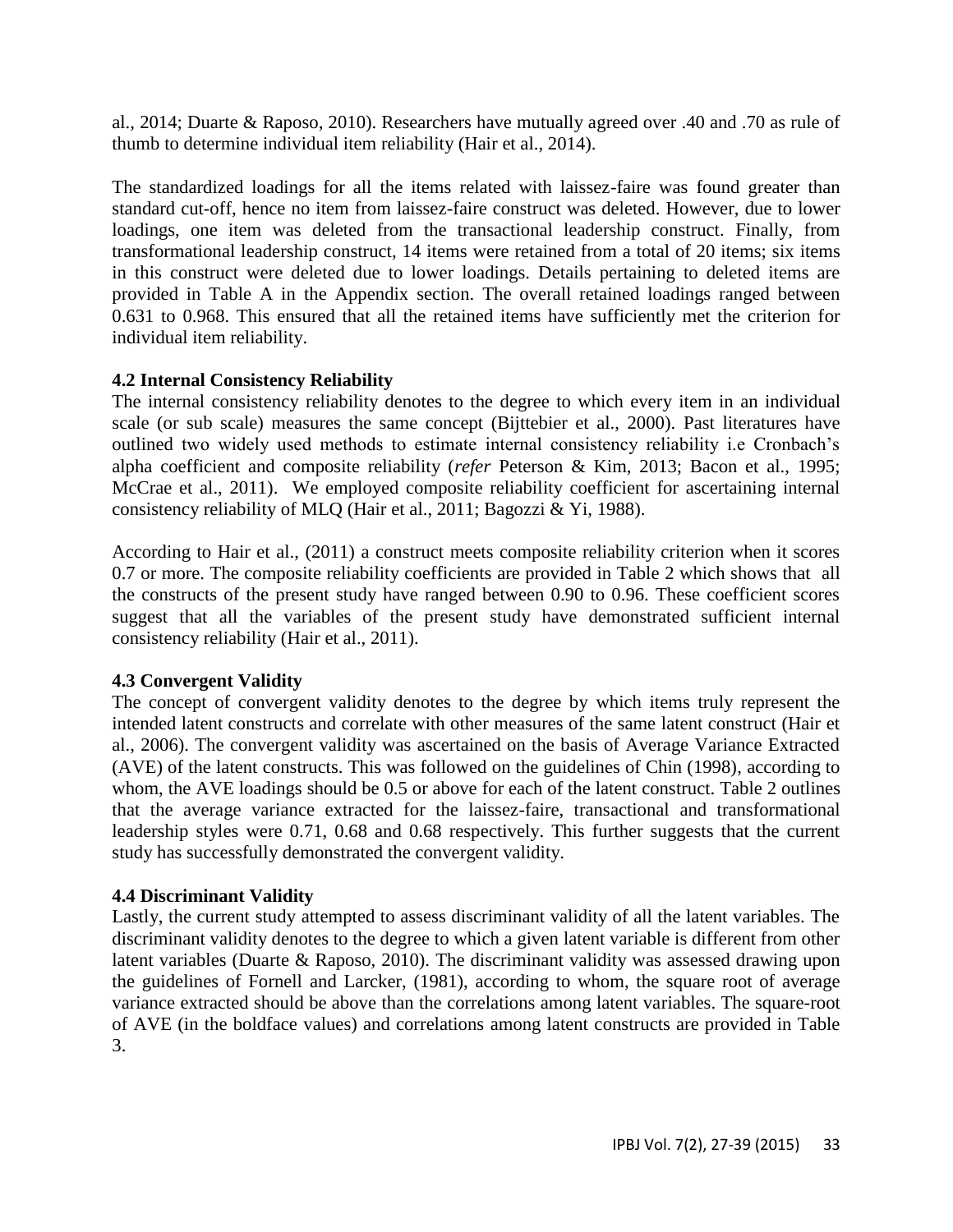al., 2014; Duarte & Raposo, 2010). Researchers have mutually agreed over .40 and .70 as rule of thumb to determine individual item reliability (Hair et al., 2014).

The standardized loadings for all the items related with laissez-faire was found greater than standard cut-off, hence no item from laissez-faire construct was deleted. However, due to lower loadings, one item was deleted from the transactional leadership construct. Finally, from transformational leadership construct, 14 items were retained from a total of 20 items; six items in this construct were deleted due to lower loadings. Details pertaining to deleted items are provided in Table A in the Appendix section. The overall retained loadings ranged between 0.631 to 0.968. This ensured that all the retained items have sufficiently met the criterion for individual item reliability.

# **4.2 Internal Consistency Reliability**

The internal consistency reliability denotes to the degree to which every item in an individual scale (or sub scale) measures the same concept (Bijttebier et al., 2000). Past literatures have outlined two widely used methods to estimate internal consistency reliability i.e Cronbach's alpha coefficient and composite reliability (*refer* Peterson & Kim, 2013; Bacon et al., 1995; McCrae et al., 2011). We employed composite reliability coefficient for ascertaining internal consistency reliability of MLQ (Hair et al., 2011; Bagozzi & Yi, 1988).

According to Hair et al., (2011) a construct meets composite reliability criterion when it scores 0.7 or more. The composite reliability coefficients are provided in Table 2 which shows that all the constructs of the present study have ranged between 0.90 to 0.96. These coefficient scores suggest that all the variables of the present study have demonstrated sufficient internal consistency reliability (Hair et al., 2011).

# **4.3 Convergent Validity**

The concept of convergent validity denotes to the degree by which items truly represent the intended latent constructs and correlate with other measures of the same latent construct (Hair et al., 2006). The convergent validity was ascertained on the basis of Average Variance Extracted (AVE) of the latent constructs. This was followed on the guidelines of Chin (1998), according to whom, the AVE loadings should be 0.5 or above for each of the latent construct. Table 2 outlines that the average variance extracted for the laissez-faire, transactional and transformational leadership styles were 0.71, 0.68 and 0.68 respectively. This further suggests that the current study has successfully demonstrated the convergent validity.

# **4.4 Discriminant Validity**

Lastly, the current study attempted to assess discriminant validity of all the latent variables. The discriminant validity denotes to the degree to which a given latent variable is different from other latent variables (Duarte & Raposo, 2010). The discriminant validity was assessed drawing upon the guidelines of Fornell and Larcker, (1981), according to whom, the square root of average variance extracted should be above than the correlations among latent variables. The square-root of AVE (in the boldface values) and correlations among latent constructs are provided in Table 3.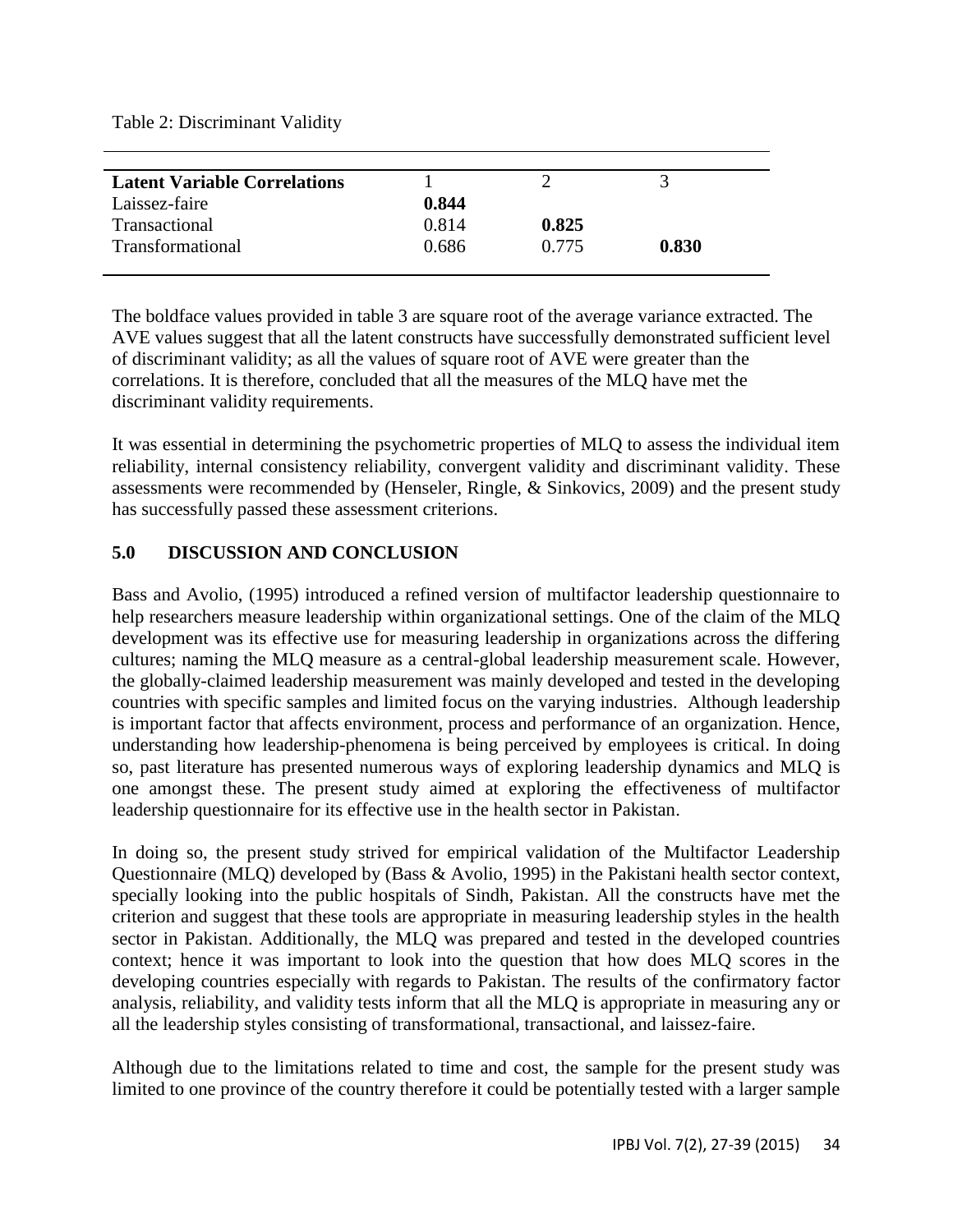Table 2: Discriminant Validity

| <b>Latent Variable Correlations</b> |       |       |       |
|-------------------------------------|-------|-------|-------|
| Laissez-faire                       | 0.844 |       |       |
| Transactional                       | 0.814 | 0.825 |       |
| Transformational                    | 0.686 | 0.775 | 0.830 |
|                                     |       |       |       |

The boldface values provided in table 3 are square root of the average variance extracted. The AVE values suggest that all the latent constructs have successfully demonstrated sufficient level of discriminant validity; as all the values of square root of AVE were greater than the correlations. It is therefore, concluded that all the measures of the MLQ have met the discriminant validity requirements.

It was essential in determining the psychometric properties of MLQ to assess the individual item reliability, internal consistency reliability, convergent validity and discriminant validity. These assessments were recommended by (Henseler, Ringle, & Sinkovics, 2009) and the present study has successfully passed these assessment criterions.

# **5.0 DISCUSSION AND CONCLUSION**

Bass and Avolio, (1995) introduced a refined version of multifactor leadership questionnaire to help researchers measure leadership within organizational settings. One of the claim of the MLQ development was its effective use for measuring leadership in organizations across the differing cultures; naming the MLQ measure as a central-global leadership measurement scale. However, the globally-claimed leadership measurement was mainly developed and tested in the developing countries with specific samples and limited focus on the varying industries. Although leadership is important factor that affects environment, process and performance of an organization. Hence, understanding how leadership-phenomena is being perceived by employees is critical. In doing so, past literature has presented numerous ways of exploring leadership dynamics and MLQ is one amongst these. The present study aimed at exploring the effectiveness of multifactor leadership questionnaire for its effective use in the health sector in Pakistan.

In doing so, the present study strived for empirical validation of the Multifactor Leadership Questionnaire (MLQ) developed by (Bass & Avolio, 1995) in the Pakistani health sector context, specially looking into the public hospitals of Sindh, Pakistan. All the constructs have met the criterion and suggest that these tools are appropriate in measuring leadership styles in the health sector in Pakistan. Additionally, the MLQ was prepared and tested in the developed countries context; hence it was important to look into the question that how does MLQ scores in the developing countries especially with regards to Pakistan. The results of the confirmatory factor analysis, reliability, and validity tests inform that all the MLQ is appropriate in measuring any or all the leadership styles consisting of transformational, transactional, and laissez-faire.

Although due to the limitations related to time and cost, the sample for the present study was limited to one province of the country therefore it could be potentially tested with a larger sample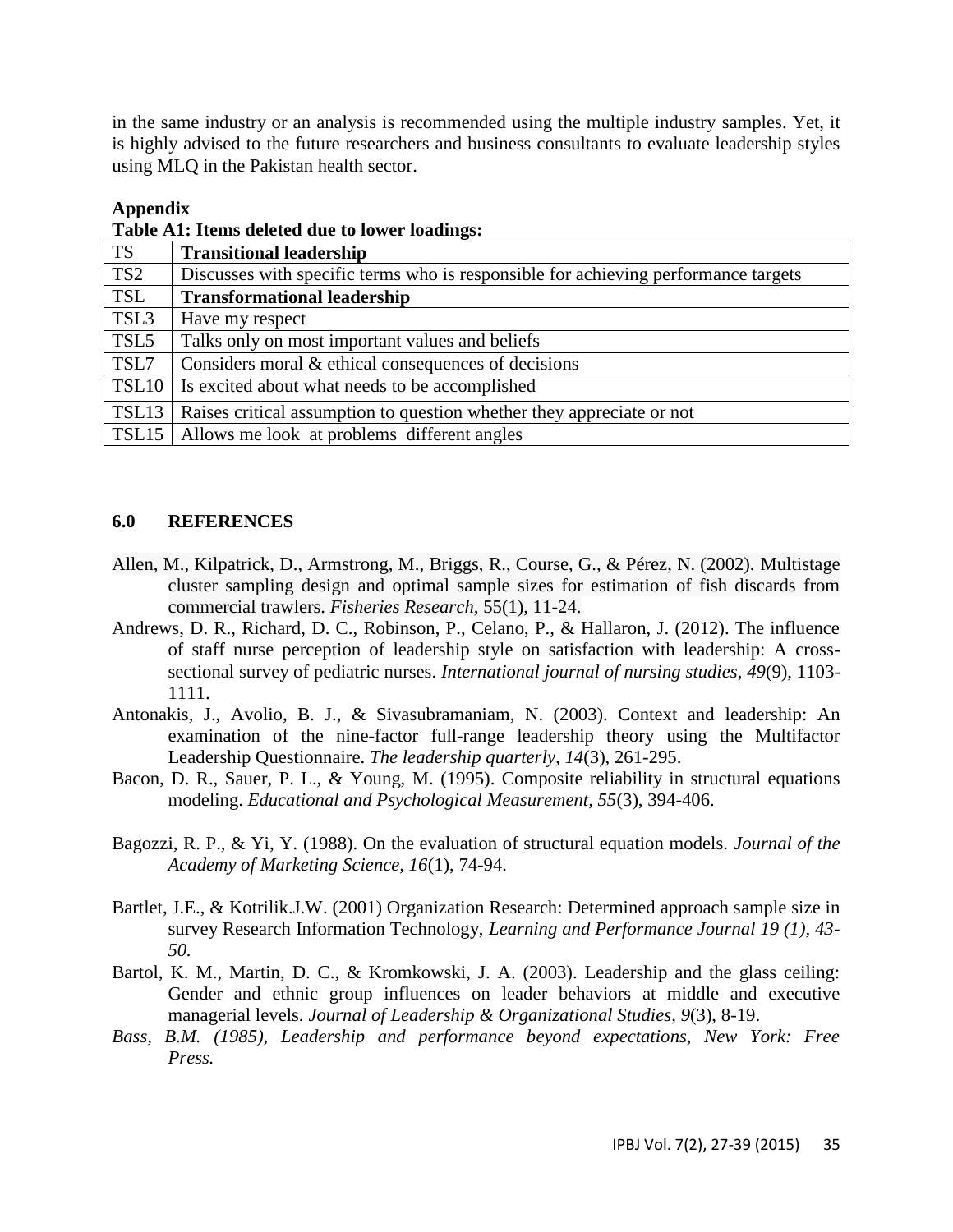in the same industry or an analysis is recommended using the multiple industry samples. Yet, it is highly advised to the future researchers and business consultants to evaluate leadership styles using MLQ in the Pakistan health sector.

#### **Appendix**

**Table A1: Items deleted due to lower loadings:**

| <b>TS</b>       | <b>Transitional leadership</b>                                                     |
|-----------------|------------------------------------------------------------------------------------|
| TS <sub>2</sub> | Discusses with specific terms who is responsible for achieving performance targets |
| <b>TSL</b>      | <b>Transformational leadership</b>                                                 |
| TSL3            | Have my respect                                                                    |
| TSL5            | Talks only on most important values and beliefs                                    |
| TSL7            | Considers moral & ethical consequences of decisions                                |
|                 | TSL10   Is excited about what needs to be accomplished                             |
| TSL13           | Raises critical assumption to question whether they appreciate or not              |
|                 | TSL15   Allows me look at problems different angles                                |

#### **6.0 REFERENCES**

- Allen, M., Kilpatrick, D., Armstrong, M., Briggs, R., Course, G., & Pérez, N. (2002). Multistage cluster sampling design and optimal sample sizes for estimation of fish discards from commercial trawlers. *Fisheries Research,* 55(1), 11-24.
- Andrews, D. R., Richard, D. C., Robinson, P., Celano, P., & Hallaron, J. (2012). The influence of staff nurse perception of leadership style on satisfaction with leadership: A crosssectional survey of pediatric nurses. *International journal of nursing studies*, *49*(9), 1103- 1111.
- Antonakis, J., Avolio, B. J., & Sivasubramaniam, N. (2003). Context and leadership: An examination of the nine-factor full-range leadership theory using the Multifactor Leadership Questionnaire. *The leadership quarterly*, *14*(3), 261-295.
- Bacon, D. R., Sauer, P. L., & Young, M. (1995). Composite reliability in structural equations modeling. *Educational and Psychological Measurement, 55*(3), 394-406.
- Bagozzi, R. P., & Yi, Y. (1988). On the evaluation of structural equation models. *Journal of the Academy of Marketing Science, 16*(1), 74-94.
- Bartlet, J.E., & Kotrilik.J.W. (2001) Organization Research: Determined approach sample size in survey Research Information Technology, *Learning and Performance Journal 19 (1), 43- 50.*
- Bartol, K. M., Martin, D. C., & Kromkowski, J. A. (2003). Leadership and the glass ceiling: Gender and ethnic group influences on leader behaviors at middle and executive managerial levels. *Journal of Leadership & Organizational Studies*, *9*(3), 8-19.
- *Bass, B.M. (1985), Leadership and performance beyond expectations, New York: Free Press.*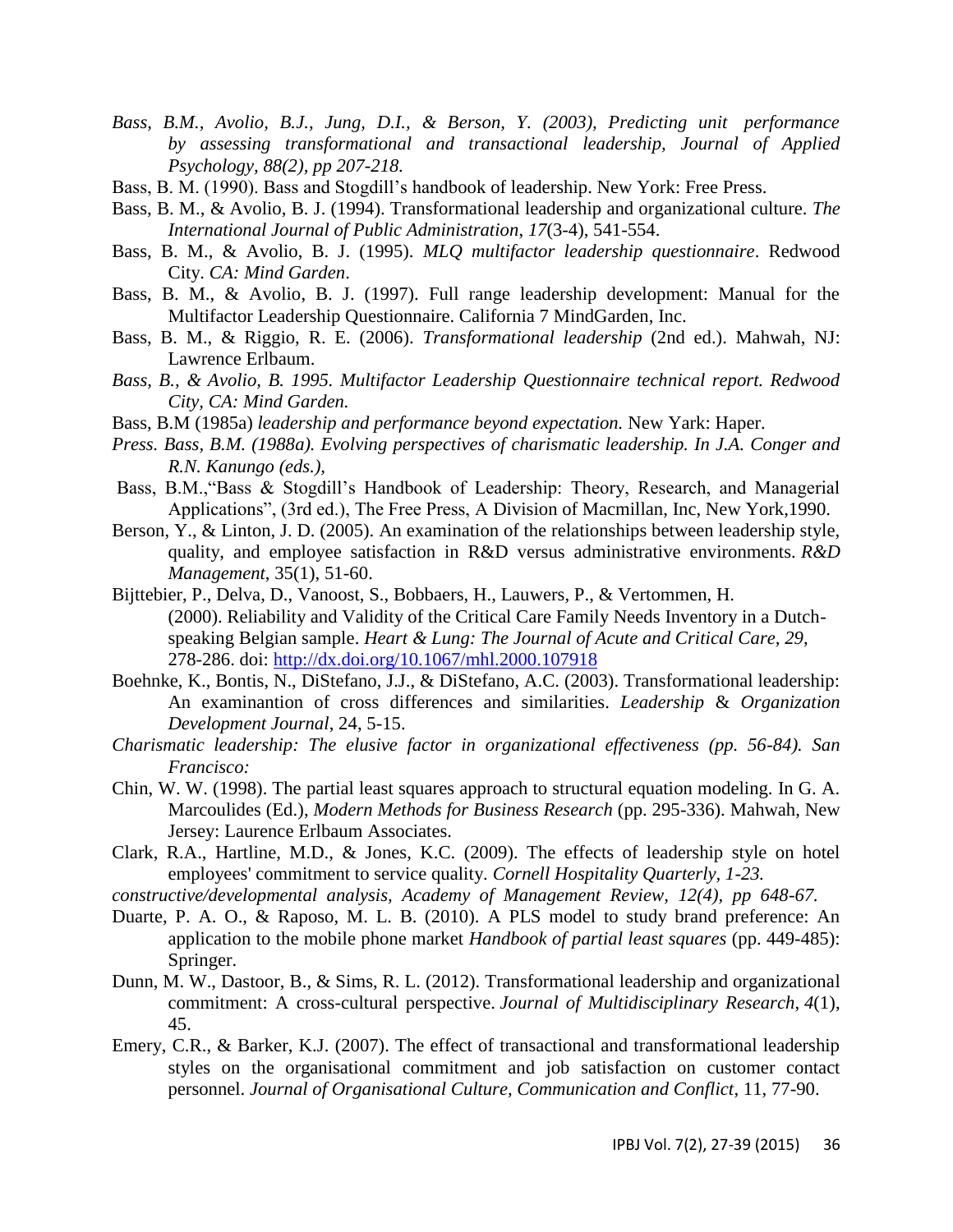- *Bass, B.M., Avolio, B.J., Jung, D.I., & Berson, Y. (2003), Predicting unit performance by assessing transformational and transactional leadership, Journal of Applied Psychology, 88(2), pp 207-218.*
- Bass, B. M. (1990). Bass and Stogdill's handbook of leadership. New York: Free Press.
- Bass, B. M., & Avolio, B. J. (1994). Transformational leadership and organizational culture. *The International Journal of Public Administration*, *17*(3-4), 541-554.
- Bass, B. M., & Avolio, B. J. (1995). *MLQ multifactor leadership questionnaire*. Redwood City. *CA: Mind Garden*.
- Bass, B. M., & Avolio, B. J. (1997). Full range leadership development: Manual for the Multifactor Leadership Questionnaire. California 7 MindGarden, Inc.
- Bass, B. M., & Riggio, R. E. (2006). *Transformational leadership* (2nd ed.). Mahwah, NJ: Lawrence Erlbaum.
- *Bass, B., & Avolio, B. 1995. Multifactor Leadership Questionnaire technical report. Redwood City, CA: Mind Garden.*
- Bass, B.M (1985a) *leadership and performance beyond expectation.* New Yark: Haper.
- *Press. Bass, B.M. (1988a). Evolving perspectives of charismatic leadership. In J.A. Conger and R.N. Kanungo (eds.),*
- Bass, B.M.,"Bass & Stogdill's Handbook of Leadership: Theory, Research, and Managerial Applications", (3rd ed.), The Free Press, A Division of Macmillan, Inc, New York,1990.
- Berson, Y., & Linton, J. D. (2005). An examination of the relationships between leadership style, quality, and employee satisfaction in R&D versus administrative environments. *R&D Management*, 35(1), 51-60.
- Bijttebier, P., Delva, D., Vanoost, S., Bobbaers, H., Lauwers, P., & Vertommen, H. (2000). Reliability and Validity of the Critical Care Family Needs Inventory in a Dutchspeaking Belgian sample. *Heart & Lung: The Journal of Acute and Critical Care, 29*, 278-286. doi:<http://dx.doi.org/10.1067/mhl.2000.107918>
- Boehnke, K., Bontis, N., DiStefano, J.J., & DiStefano, A.C. (2003). Transformational leadership: An examinantion of cross differences and similarities. *Leadership* & *Organization Development Journal*, 24, 5-15.
- *Charismatic leadership: The elusive factor in organizational effectiveness (pp. 56-84). San Francisco:*
- Chin, W. W. (1998). The partial least squares approach to structural equation modeling. In G. A. Marcoulides (Ed.), *Modern Methods for Business Research* (pp. 295-336). Mahwah, New Jersey: Laurence Erlbaum Associates.
- Clark, R.A., Hartline, M.D., & Jones, K.C. (2009). The effects of leadership style on hotel employees' commitment to service quality. *Cornell Hospitality Quarterly, 1-23.*
- *constructive/developmental analysis, Academy of Management Review, 12(4), pp 648-67.*
- Duarte, P. A. O., & Raposo, M. L. B. (2010). A PLS model to study brand preference: An application to the mobile phone market *Handbook of partial least squares* (pp. 449-485): Springer.
- Dunn, M. W., Dastoor, B., & Sims, R. L. (2012). Transformational leadership and organizational commitment: A cross-cultural perspective. *Journal of Multidisciplinary Research*, *4*(1), 45.
- Emery, C.R., & Barker, K.J. (2007). The effect of transactional and transformational leadership styles on the organisational commitment and job satisfaction on customer contact personnel. *Journal of Organisational Culture, Communication and Conflict*, 11, 77-90.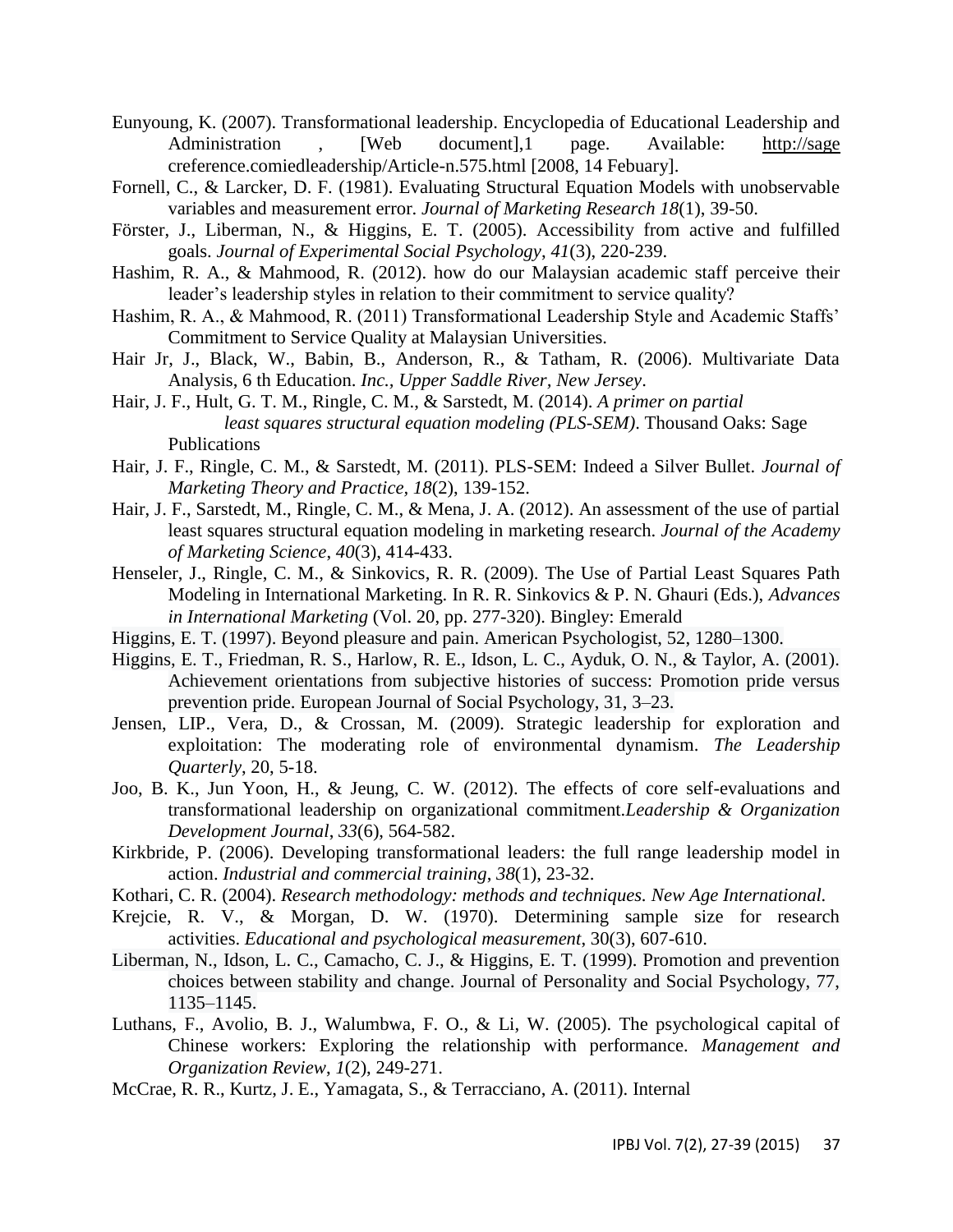- Eunyoung, K. (2007). Transformational leadership. Encyclopedia of Educational Leadership and Administration , [Web document],1 page. Available: [http://sage](http://sage/) creference.comiedleadership/Article-n.575.html [2008, 14 Febuary].
- Fornell, C., & Larcker, D. F. (1981). Evaluating Structural Equation Models with unobservable variables and measurement error. *Journal of Marketing Research 18*(1), 39-50.
- Förster, J., Liberman, N., & Higgins, E. T. (2005). Accessibility from active and fulfilled goals. *Journal of Experimental Social Psychology*, *41*(3), 220-239.
- Hashim, R. A., & Mahmood, R. (2012). how do our Malaysian academic staff perceive their leader's leadership styles in relation to their commitment to service quality?
- Hashim, R. A., & Mahmood, R. (2011) Transformational Leadership Style and Academic Staffs' Commitment to Service Quality at Malaysian Universities.
- Hair Jr, J., Black, W., Babin, B., Anderson, R., & Tatham, R. (2006). Multivariate Data Analysis, 6 th Education. *Inc., Upper Saddle River, New Jersey*.
- Hair, J. F., Hult, G. T. M., Ringle, C. M., & Sarstedt, M. (2014). *A primer on partial least squares structural equation modeling (PLS-SEM)*. Thousand Oaks: Sage Publications
- Hair, J. F., Ringle, C. M., & Sarstedt, M. (2011). PLS-SEM: Indeed a Silver Bullet. *Journal of Marketing Theory and Practice, 18*(2), 139-152.
- Hair, J. F., Sarstedt, M., Ringle, C. M., & Mena, J. A. (2012). An assessment of the use of partial least squares structural equation modeling in marketing research. *Journal of the Academy of Marketing Science*, *40*(3), 414-433.
- Henseler, J., Ringle, C. M., & Sinkovics, R. R. (2009). The Use of Partial Least Squares Path Modeling in International Marketing. In R. R. Sinkovics & P. N. Ghauri (Eds.), *Advances in International Marketing* (Vol. 20, pp. 277-320). Bingley: Emerald
- Higgins, E. T. (1997). Beyond pleasure and pain. American Psychologist, 52, 1280–1300.
- Higgins, E. T., Friedman, R. S., Harlow, R. E., Idson, L. C., Ayduk, O. N., & Taylor, A. (2001). Achievement orientations from subjective histories of success: Promotion pride versus prevention pride. European Journal of Social Psychology, 31, 3–23.
- Jensen, LIP., Vera, D., & Crossan, M. (2009). Strategic leadership for exploration and exploitation: The moderating role of environmental dynamism. *The Leadership Quarterly*, 20, 5-18.
- Joo, B. K., Jun Yoon, H., & Jeung, C. W. (2012). The effects of core self-evaluations and transformational leadership on organizational commitment.*Leadership & Organization Development Journal*, *33*(6), 564-582.
- Kirkbride, P. (2006). Developing transformational leaders: the full range leadership model in action. *Industrial and commercial training*, *38*(1), 23-32.
- Kothari, C. R. (2004). *Research methodology: methods and techniques. New Age International.*
- Krejcie, R. V., & Morgan, D. W. (1970). Determining sample size for research activities. *Educational and psychological measurement*, 30(3), 607-610.
- Liberman, N., Idson, L. C., Camacho, C. J., & Higgins, E. T. (1999). Promotion and prevention choices between stability and change. Journal of Personality and Social Psychology, 77, 1135–1145.
- Luthans, F., Avolio, B. J., Walumbwa, F. O., & Li, W. (2005). The psychological capital of Chinese workers: Exploring the relationship with performance. *Management and Organization Review*, *1*(2), 249-271.
- McCrae, R. R., Kurtz, J. E., Yamagata, S., & Terracciano, A. (2011). Internal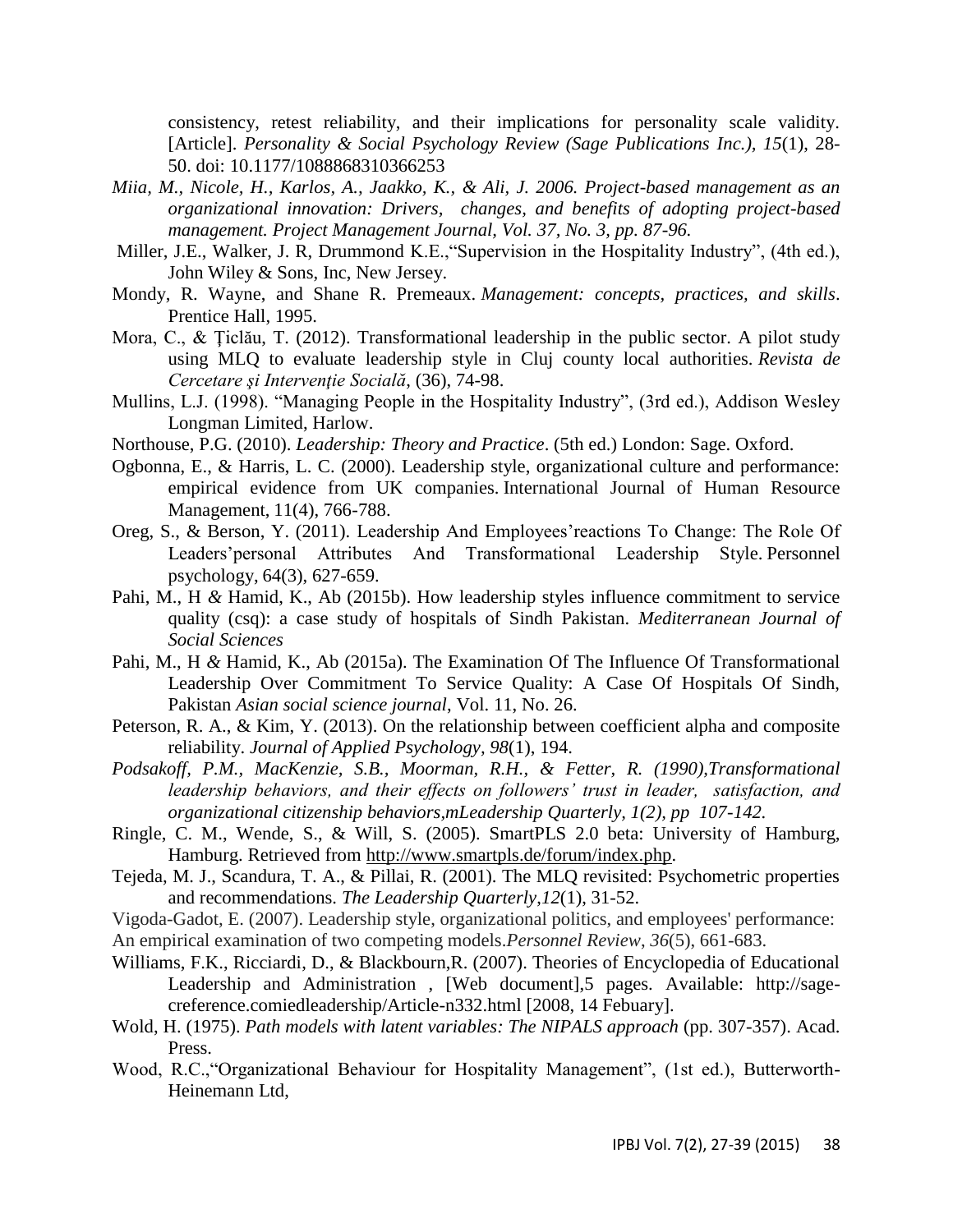consistency, retest reliability, and their implications for personality scale validity. [Article]. *Personality & Social Psychology Review (Sage Publications Inc.), 15*(1), 28- 50. doi: 10.1177/1088868310366253

- *Miia, M., Nicole, H., Karlos, A., Jaakko, K., & Ali, J. 2006. Project-based management as an organizational innovation: Drivers, changes, and benefits of adopting project-based management. Project Management Journal, Vol. 37, No. 3, pp. 87-96.*
- Miller, J.E., Walker, J. R, Drummond K.E.,"Supervision in the Hospitality Industry", (4th ed.), John Wiley & Sons, Inc, New Jersey.
- Mondy, R. Wayne, and Shane R. Premeaux. *Management: concepts, practices, and skills*. Prentice Hall, 1995.
- Mora, C., & Ţiclău, T. (2012). Transformational leadership in the public sector. A pilot study using MLQ to evaluate leadership style in Cluj county local authorities. *Revista de Cercetare şi Intervenţie Socială*, (36), 74-98.
- Mullins, L.J. (1998). "Managing People in the Hospitality Industry", (3rd ed.), Addison Wesley Longman Limited, Harlow.
- Northouse, P.G. (2010). *Leadership: Theory and Practice*. (5th ed.) London: Sage. Oxford.
- Ogbonna, E., & Harris, L. C. (2000). Leadership style, organizational culture and performance: empirical evidence from UK companies. International Journal of Human Resource Management, 11(4), 766-788.
- Oreg, S., & Berson, Y. (2011). Leadership And Employees'reactions To Change: The Role Of Leaders'personal Attributes And Transformational Leadership Style. Personnel psychology, 64(3), 627-659.
- Pahi, M., H *&* Hamid, K., Ab (2015b). How leadership styles influence commitment to service quality (csq): a case study of hospitals of Sindh Pakistan. *Mediterranean Journal of Social Sciences*
- Pahi, M., H *&* Hamid, K., Ab (2015a). The Examination Of The Influence Of Transformational Leadership Over Commitment To Service Quality: A Case Of Hospitals Of Sindh, Pakistan *Asian social science journal*, Vol. 11, No. 26.
- Peterson, R. A., & Kim, Y. (2013). On the relationship between coefficient alpha and composite reliability. *Journal of Applied Psychology, 98*(1), 194.
- *Podsakoff, P.M., MacKenzie, S.B., Moorman, R.H., & Fetter, R. (1990),Transformational leadership behaviors, and their effects on followers' trust in leader, satisfaction, and organizational citizenship behaviors,mLeadership Quarterly, 1(2), pp 107-142.*
- Ringle, C. M., Wende, S., & Will, S. (2005). SmartPLS 2.0 beta: University of Hamburg, Hamburg. Retrieved from [http://www.smartpls.de/forum/index.php.](http://www.smartpls.de/forum/index.php)
- Tejeda, M. J., Scandura, T. A., & Pillai, R. (2001). The MLQ revisited: Psychometric properties and recommendations. *The Leadership Quarterly*,*12*(1), 31-52.
- Vigoda-Gadot, E. (2007). Leadership style, organizational politics, and employees' performance:
- An empirical examination of two competing models.*Personnel Review*, *36*(5), 661-683.
- Williams, F.K., Ricciardi, D., & Blackbourn,R. (2007). Theories of Encyclopedia of Educational Leadership and Administration , [Web document],5 pages. Available: http://sagecreference.comiedleadership/Article-n332.html [2008, 14 Febuary].
- Wold, H. (1975). *Path models with latent variables: The NIPALS approach* (pp. 307-357). Acad. Press.
- Wood, R.C.,"Organizational Behaviour for Hospitality Management", (1st ed.), Butterworth-Heinemann Ltd,